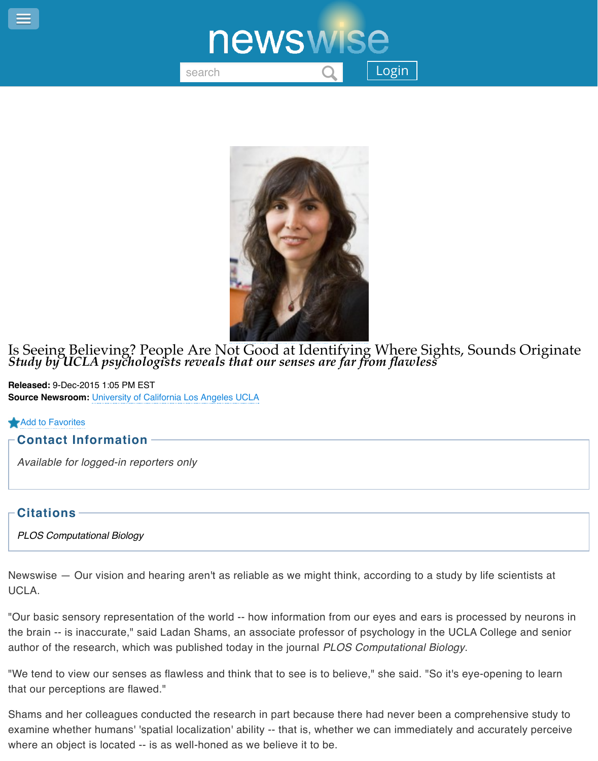

Is Seeing Believing? People Are N[ot Good at Identifying](http://www.newswise.com/articles/media-article/644594?channel=) Where Sights, Sour *Study by UCLA psychologists reveals that our senses are far from flawless*

**Released:** 9-Dec-2015 1:05 PM EST **Source Newsroom:** University of California Los Angeles UCLA

## Add to Favorites

## **Contact Information**

*Available for logged-in reporters only*

## **Citations**

*[PLOS Computat](http://www.newswise.com/users/login/?ret=%2Farticles%2Fis-seeing-believing-people-are-not-good-at-identifying-where-sights-sounds-originate%2F%3Fad2f%3D1%26aid%3D644594)ional Biology*

Newswise  $-$  Our vision and hearing aren't as reliable as we might think, according to a study by life UCLA.

"Our basic sensory representation of the world -- how information from our eyes and ears is process the brain -- is inaccurate," said Ladan Shams, an associate professor of psychology in the UCLA Col author of the research, which was published today in the journal *PLOS Computational Biology*.

"We tend to view our senses as flawless and think that to see is to believe," she said. "So it's eye-operty that our perceptions are flawed."

Shams and her colleagues conducted the research in part because there had never been a compreh examine whether humans' 'spatial localization' ability -- that is, whether we can immediately and accurately where an object is located -- is as well-honed as we believe it to be.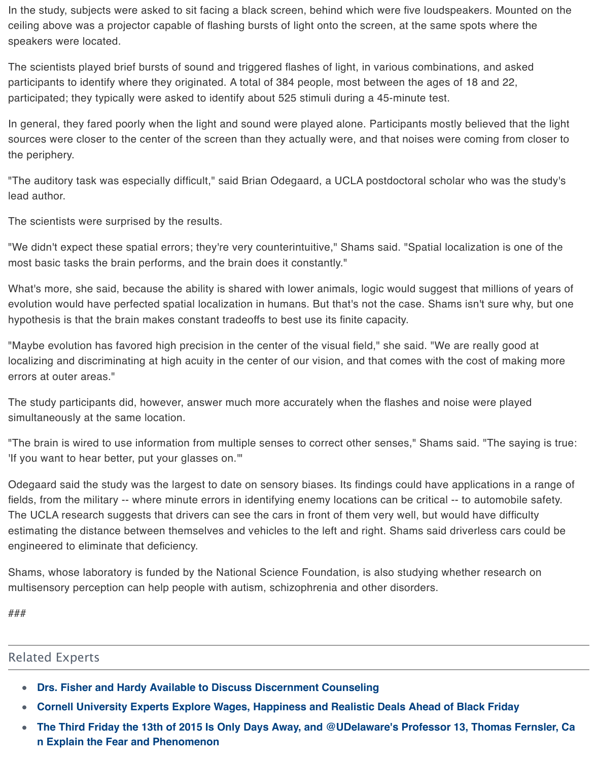In general, they fared poorly when the light and sound were played alone. Participants mostly believe sources were closer to the center of the screen than they actually were, and that noises were coming the periphery.

"The auditory task was especially difficult," said Brian Odegaard, a UCLA postdoctoral scholar who w lead author.

The scientists were surprised by the results.

"We didn't expect these spatial errors; they're very counterintuitive," Shams said. "Spatial localizatior most basic tasks the brain performs, and the brain does it constantly."

What's more, she said, because the ability is shared with lower animals, logic would suggest that mil evolution would have perfected spatial localization in humans. But that's not the case. Shams isn't su hypothesis is that the brain makes constant tradeoffs to best use its finite capacity.

"Maybe evolution has favored high precision in the center of the visual field," she said. "We are really localizing and discriminating at high acuity in the center of our vision, and that comes with the cost of errors at outer areas."

The study participants did, however, answer much more accurately when the flashes and noise were simultaneously at the same location.

"The brain is wired to use information from multiple senses to correct other senses," Shams said. "The 'If you want to hear better, put your glasses on.'"

Odegaard said the study was the largest to date on sensory biases. Its findings could have applications in a range of fields, from the military -- where minute errors in identifying enemy locations can be critical -- to auto The UCLA research suggests that drivers can see the cars in front of them very well, but would have estimating the distance between themselves and vehicles to the left and right. Shams said driverless engineered to eliminate that deficiency.

Shams, whose laboratory is funded by the National Science Foundation, is also studying whether res multisensory perception can help people with autism, schizophrenia and other disorders.

###

## Related Experts

- **Drs. Fisher and Hardy Available to Discuss Discernment Counseling**
- **Cornell University Experts Explore Wages, Happiness and Realistic Deals Ahead of Black Fragment**  $\bullet$
- The Third Friday the 13th of 2015 Is Only Days Away, and @UDelaware's Professor 13, Thon  $\bullet$ **n Explain the Fear and Phenomenon**